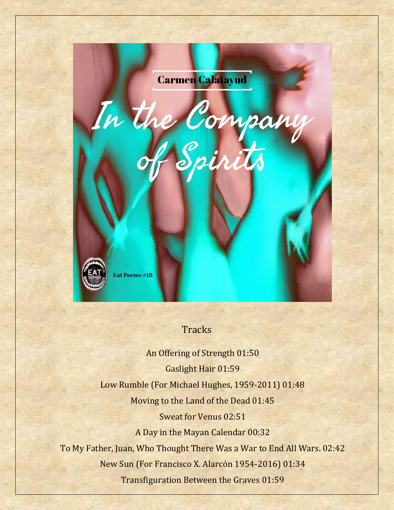

## **Tracks**

An Offering of Strength 01:50 Gaslight Hair 01:59 Low Rumble (For Michael Hughes, 1959-2011) 01:48 Moving to the Land of the Dead 01:45 Sweat for Venus 02:51 A Day in the Mayan Calendar 00:32 To My Father, Juan, Who Thought There Was a War to End All Wars. 02:42 New Sun (For Francisco X. Alarcón 1954-2016) 01:34 Transfiguration Between the Graves 01:59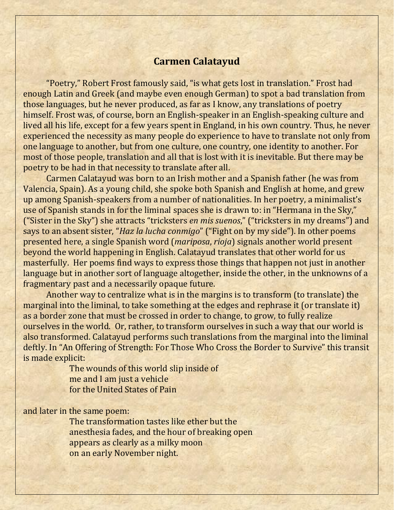## **Carmen Calatayud**

"Poetry," Robert Frost famously said, "is what gets lost in translation." Frost had enough Latin and Greek (and maybe even enough German) to spot a bad translation from those languages, but he never produced, as far as I know, any translations of poetry himself. Frost was, of course, born an English-speaker in an English-speaking culture and lived all his life, except for a few years spent in England, in his own country. Thus, he never experienced the necessity as many people do experience to have to translate not only from one language to another, but from one culture, one country, one identity to another. For most of those people, translation and all that is lost with it is inevitable. But there may be poetry to be had in that necessity to translate after all.

Carmen Calatayud was born to an Irish mother and a Spanish father (he was from Valencia, Spain). As a young child, she spoke both Spanish and English at home, and grew up among Spanish-speakers from a number of nationalities. In her poetry, a minimalist's use of Spanish stands in for the liminal spaces she is drawn to: in "Hermana in the Sky," ("Sister in the Sky") she attracts "tricksters *en mis suenos*," ("tricksters in my dreams") and says to an absent sister, "*Haz la lucha conmigo*" ("Fight on by my side"). In other poems presented here, a single Spanish word (*mariposa*, *rioja*) signals another world present beyond the world happening in English. Calatayud translates that other world for us masterfully. Her poems find ways to express those things that happen not just in another language but in another sort of language altogether, inside the other, in the unknowns of a fragmentary past and a necessarily opaque future.

Another way to centralize what is in the margins is to transform (to translate) the marginal into the liminal, to take something at the edges and rephrase it (or translate it) as a border zone that must be crossed in order to change, to grow, to fully realize ourselves in the world. Or, rather, to transform ourselves in such a way that our world is also transformed. Calatayud performs such translations from the marginal into the liminal deftly. In "An Offering of Strength: For Those Who Cross the Border to Survive" this transit is made explicit:

> The wounds of this world slip inside of me and I am just a vehicle for the United States of Pain

and later in the same poem:

The transformation tastes like ether but the anesthesia fades, and the hour of breaking open appears as clearly as a milky moon on an early November night.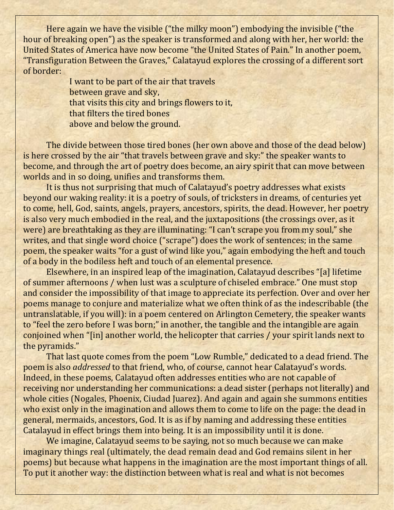Here again we have the visible ("the milky moon") embodying the invisible ("the hour of breaking open") as the speaker is transformed and along with her, her world: the United States of America have now become "the United States of Pain." In another poem, "Transfiguration Between the Graves," Calatayud explores the crossing of a different sort of border:

> I want to be part of the air that travels between grave and sky, that visits this city and brings flowers to it, that filters the tired bones above and below the ground.

The divide between those tired bones (her own above and those of the dead below) is here crossed by the air "that travels between grave and sky:" the speaker wants to become, and through the art of poetry does become, an airy spirit that can move between worlds and in so doing, unifies and transforms them.

It is thus not surprising that much of Calatayud's poetry addresses what exists beyond our waking reality: it is a poetry of souls, of tricksters in dreams, of centuries yet to come, hell, God, saints, angels, prayers, ancestors, spirits, the dead. However, her poetry is also very much embodied in the real, and the juxtapositions (the crossings over, as it were) are breathtaking as they are illuminating: "I can't scrape you from my soul," she writes, and that single word choice ("scrape") does the work of sentences; in the same poem, the speaker waits "for a gust of wind like you," again embodying the heft and touch of a body in the bodiless heft and touch of an elemental presence.

Elsewhere, in an inspired leap of the imagination, Calatayud describes "[a] lifetime of summer afternoons / when lust was a sculpture of chiseled embrace." One must stop and consider the impossibility of that image to appreciate its perfection. Over and over her poems manage to conjure and materialize what we often think of as the indescribable (the untranslatable, if you will): in a poem centered on Arlington Cemetery, the speaker wants to "feel the zero before I was born;" in another, the tangible and the intangible are again conjoined when "[in] another world, the helicopter that carries / your spirit lands next to the pyramids."

That last quote comes from the poem "Low Rumble," dedicated to a dead friend. The poem is also *addressed* to that friend, who, of course, cannot hear Calatayud's words. Indeed, in these poems, Calatayud often addresses entities who are not capable of receiving nor understanding her communications: a dead sister (perhaps not literally) and whole cities (Nogales, Phoenix, Ciudad Juarez). And again and again she summons entities who exist only in the imagination and allows them to come to life on the page: the dead in general, mermaids, ancestors, God. It is as if by naming and addressing these entities Catalayud in effect brings them into being. It is an impossibility until it is done.

We imagine, Calatayud seems to be saying, not so much because we can make imaginary things real (ultimately, the dead remain dead and God remains silent in her poems) but because what happens in the imagination are the most important things of all. To put it another way: the distinction between what is real and what is not becomes